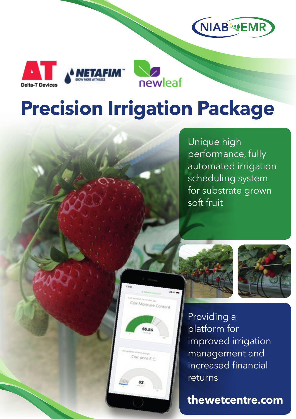





# **Precision Irrigation Package**

oir Moisture Conten

Coir pore E.C.

Unique high performance, fully automated irrigation scheduling system for substrate grown soft fruit





Providing a platform for improved irrigation management and increased financial returns

**thewetcentre.com**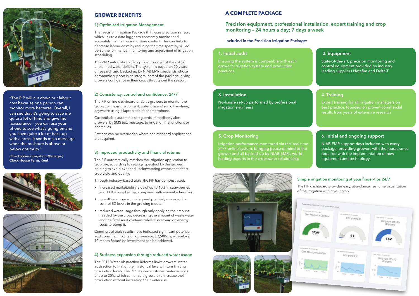# **GROWER BENEFITS**

### **1) Optimised Irrigation Management**

The Precision Irrigation Package (PIP) uses precision sensors which link to a data logger to constantly monitor and accurately maintain coir moisture content. This can help to decrease labour costs by reducing the time spent by skilled personnel on manual monitoring and adjustment of irrigation scheduling.

This 24/7 automation offers protection against the risk of unplanned water deficits. The system is based on 20 years of research and backed up by NIAB EMR specialists whose agronomic support is an integral part of the package, giving growers confidence in their crops throughout the season.

# **2) Consistency, control and confidence: 24/7**

The PIP online dashboard enables growers to monitor the crop's coir moisture content, water use and run off anytime, anywhere using a laptop, tablet or smartphone.

Customisable automatic safeguards immediately alert growers, by SMS text message, to irrigation malfunctions or anomalies.

Settings can be overridden where non-standard applications are required.

# **3) Improved productivity and financial returns**

The PIP automatically matches the irrigation application to crop use, according to settings specified by the grower; helping to avoid over and underwatering events that effect crop yield and quality.

Through industry-based trials, the PIP has demonstrated:

- increased marketable yields of up to 10% in strawberries and 14% in raspberries, compared with manual scheduling;
- run-off can more accurately and precisely managed to control EC levels in the growing media;
- reduced water usage through only applying the amount needed by the crop; decreasing the amount of waste water and the fertiliser it contains, while also saving on energy costs to pump it.

Commercial trials results have indicated significant potential additional net income of, on average, £7,500/ha, whereby a 12 month Return on Investment can be achieved.

# **4) Business expansion through reduced water usage**

The 2017 Water Abstraction Reforms limits growers' water abstraction to that of their historical levels, in turn limiting production levels. The PIP has demonstrated water savings of up to 20%, which can enable growers to increase their production without increasing their water use.

# **Simple irrigation monitoring at your finger-tips 24/7**



The PIP dashboard provides easy, at-a-glance, real-time visualisation of the irrigation within your crop.

# **1. Initial audit**

Ensuring the system is compatible with each grower's irrigation system and production practices

# **3. Installation**

No-hassle set-up performed by professional irrigation engineers

# **5. Crop Monitoring**

Irrigation performance monitored via the 'real time' 24/7 online system, bringing peace of mind to the grower and all backed-up by NIAB EMR's world leading experts in the crop/water relationship



# **4. Training**

Expert training for all irrigation managers on best practice, founded on proven commercial results from years of extensive research

# **6. Initial and ongoing support**

NIAB EMR support days included with every package, providing growers with the reassurance required with the implementation of new equipment and technology

# **2. Equipment**

State-of-the-art, precision monitoring and control equipment provided by industryleading suppliers Netafim and Delta-T

# **A COMPLETE PACKAGE**

# **Precision equipment, professional installation, expert training and crop monitoring – 24 hours a day; 7 days a week**

**Included in the Precision Irrigation Package:**



"The PIP will cut down our labour cost because one person can monitor more hectares. Overall, I can see that it's going to save me quite a lot of time and give me reassurance – you can use your phone to see what's going on and you have quite a lot of back-up with alarms. It sends me a message when the moisture is above or below optimum."

**Ollie Bekker (Irrigation Manager) Clock House Farm, Kent**